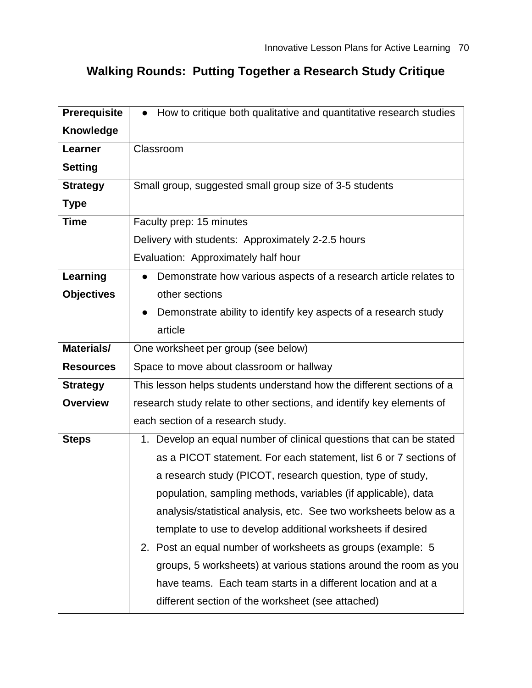## **Walking Rounds: Putting Together a Research Study Critique**

| <b>Prerequisite</b> | How to critique both qualitative and quantitative research studies<br>$\bullet$ |  |
|---------------------|---------------------------------------------------------------------------------|--|
| Knowledge           |                                                                                 |  |
| Learner             | Classroom                                                                       |  |
| <b>Setting</b>      |                                                                                 |  |
| <b>Strategy</b>     | Small group, suggested small group size of 3-5 students                         |  |
| <b>Type</b>         |                                                                                 |  |
| <b>Time</b>         | Faculty prep: 15 minutes                                                        |  |
|                     | Delivery with students: Approximately 2-2.5 hours                               |  |
|                     | Evaluation: Approximately half hour                                             |  |
| Learning            | Demonstrate how various aspects of a research article relates to                |  |
| <b>Objectives</b>   | other sections                                                                  |  |
|                     | Demonstrate ability to identify key aspects of a research study                 |  |
|                     | article                                                                         |  |
| <b>Materials/</b>   | One worksheet per group (see below)                                             |  |
| <b>Resources</b>    | Space to move about classroom or hallway                                        |  |
| <b>Strategy</b>     | This lesson helps students understand how the different sections of a           |  |
| <b>Overview</b>     | research study relate to other sections, and identify key elements of           |  |
|                     | each section of a research study.                                               |  |
| <b>Steps</b>        | 1. Develop an equal number of clinical questions that can be stated             |  |
|                     | as a PICOT statement. For each statement, list 6 or 7 sections of               |  |
|                     | a research study (PICOT, research question, type of study,                      |  |
|                     | population, sampling methods, variables (if applicable), data                   |  |
|                     | analysis/statistical analysis, etc. See two worksheets below as a               |  |
|                     | template to use to develop additional worksheets if desired                     |  |
|                     | 2. Post an equal number of worksheets as groups (example: 5)                    |  |
|                     | groups, 5 worksheets) at various stations around the room as you                |  |
|                     | have teams. Each team starts in a different location and at a                   |  |
|                     | different section of the worksheet (see attached)                               |  |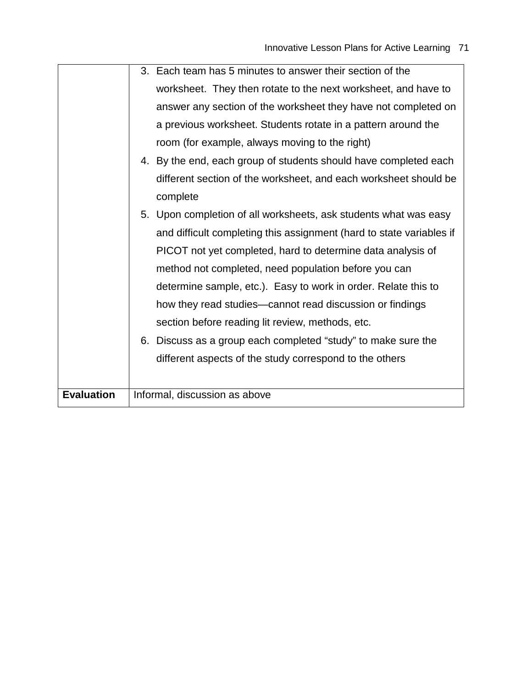|                   | 3. Each team has 5 minutes to answer their section of the            |
|-------------------|----------------------------------------------------------------------|
|                   | worksheet. They then rotate to the next worksheet, and have to       |
|                   | answer any section of the worksheet they have not completed on       |
|                   | a previous worksheet. Students rotate in a pattern around the        |
|                   | room (for example, always moving to the right)                       |
|                   | 4. By the end, each group of students should have completed each     |
|                   | different section of the worksheet, and each worksheet should be     |
|                   | complete                                                             |
|                   | 5. Upon completion of all worksheets, ask students what was easy     |
|                   | and difficult completing this assignment (hard to state variables if |
|                   | PICOT not yet completed, hard to determine data analysis of          |
|                   | method not completed, need population before you can                 |
|                   | determine sample, etc.). Easy to work in order. Relate this to       |
|                   | how they read studies—cannot read discussion or findings             |
|                   | section before reading lit review, methods, etc.                     |
|                   | 6. Discuss as a group each completed "study" to make sure the        |
|                   | different aspects of the study correspond to the others              |
|                   |                                                                      |
| <b>Evaluation</b> | Informal, discussion as above                                        |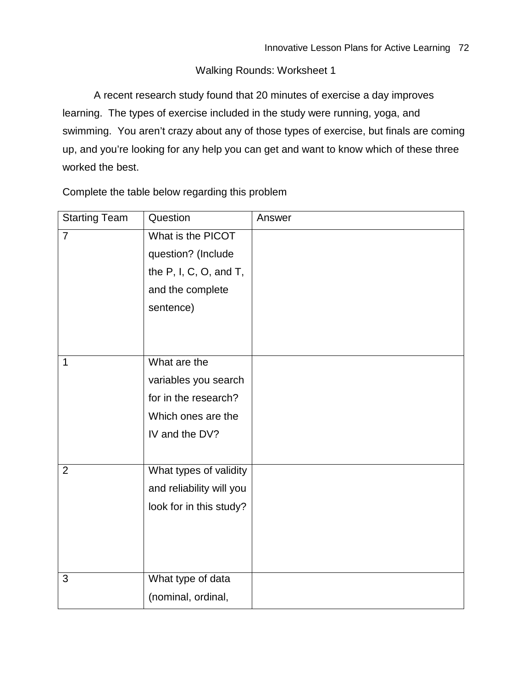## Walking Rounds: Worksheet 1

A recent research study found that 20 minutes of exercise a day improves learning. The types of exercise included in the study were running, yoga, and swimming. You aren't crazy about any of those types of exercise, but finals are coming up, and you're looking for any help you can get and want to know which of these three worked the best.

Complete the table below regarding this problem

| <b>Starting Team</b> | Question                  | Answer |
|----------------------|---------------------------|--------|
| $\overline{7}$       | What is the PICOT         |        |
|                      | question? (Include        |        |
|                      | the $P$ , I, C, O, and T, |        |
|                      | and the complete          |        |
|                      | sentence)                 |        |
|                      |                           |        |
|                      |                           |        |
| 1                    | What are the              |        |
|                      | variables you search      |        |
|                      | for in the research?      |        |
|                      | Which ones are the        |        |
|                      | IV and the DV?            |        |
|                      |                           |        |
| $\overline{2}$       | What types of validity    |        |
|                      | and reliability will you  |        |
|                      | look for in this study?   |        |
|                      |                           |        |
|                      |                           |        |
|                      |                           |        |
| 3                    | What type of data         |        |
|                      | (nominal, ordinal,        |        |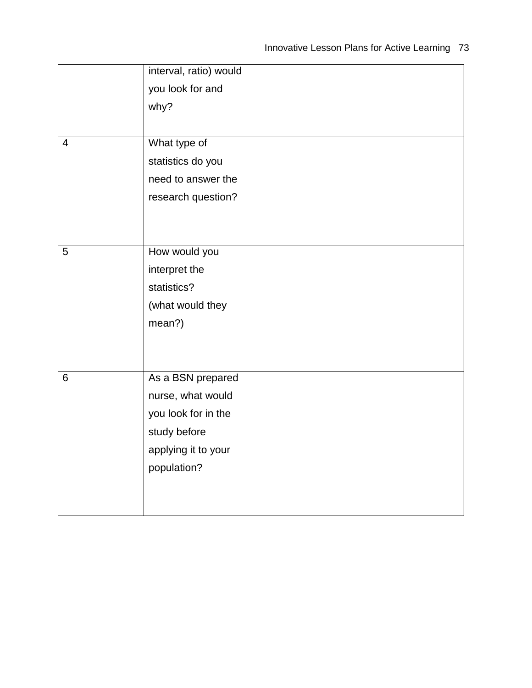|                | interval, ratio) would |  |
|----------------|------------------------|--|
|                | you look for and       |  |
|                | why?                   |  |
|                |                        |  |
| $\overline{4}$ | What type of           |  |
|                | statistics do you      |  |
|                | need to answer the     |  |
|                | research question?     |  |
|                |                        |  |
|                |                        |  |
| 5              | How would you          |  |
|                | interpret the          |  |
|                | statistics?            |  |
|                | (what would they       |  |
|                | mean?)                 |  |
|                |                        |  |
|                |                        |  |
|                |                        |  |
| 6              | As a BSN prepared      |  |
|                | nurse, what would      |  |
|                | you look for in the    |  |
|                | study before           |  |
|                | applying it to your    |  |
|                | population?            |  |
|                |                        |  |
|                |                        |  |
|                |                        |  |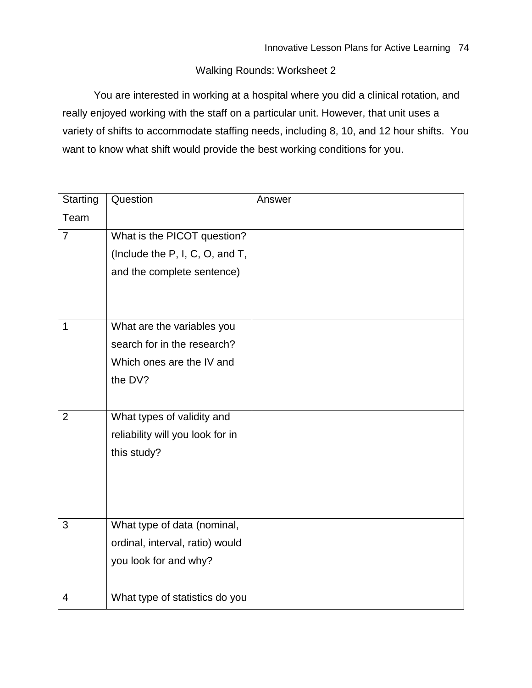## Walking Rounds: Worksheet 2

You are interested in working at a hospital where you did a clinical rotation, and really enjoyed working with the staff on a particular unit. However, that unit uses a variety of shifts to accommodate staffing needs, including 8, 10, and 12 hour shifts. You want to know what shift would provide the best working conditions for you.

| <b>Starting</b> | Question                         | Answer |
|-----------------|----------------------------------|--------|
| Team            |                                  |        |
| $\overline{7}$  | What is the PICOT question?      |        |
|                 | (Include the P, I, C, O, and T,  |        |
|                 | and the complete sentence)       |        |
|                 |                                  |        |
|                 |                                  |        |
| 1               | What are the variables you       |        |
|                 | search for in the research?      |        |
|                 | Which ones are the IV and        |        |
|                 | the DV?                          |        |
|                 |                                  |        |
| $\overline{2}$  | What types of validity and       |        |
|                 | reliability will you look for in |        |
|                 | this study?                      |        |
|                 |                                  |        |
|                 |                                  |        |
|                 |                                  |        |
| 3               | What type of data (nominal,      |        |
|                 | ordinal, interval, ratio) would  |        |
|                 | you look for and why?            |        |
|                 |                                  |        |
| 4               | What type of statistics do you   |        |